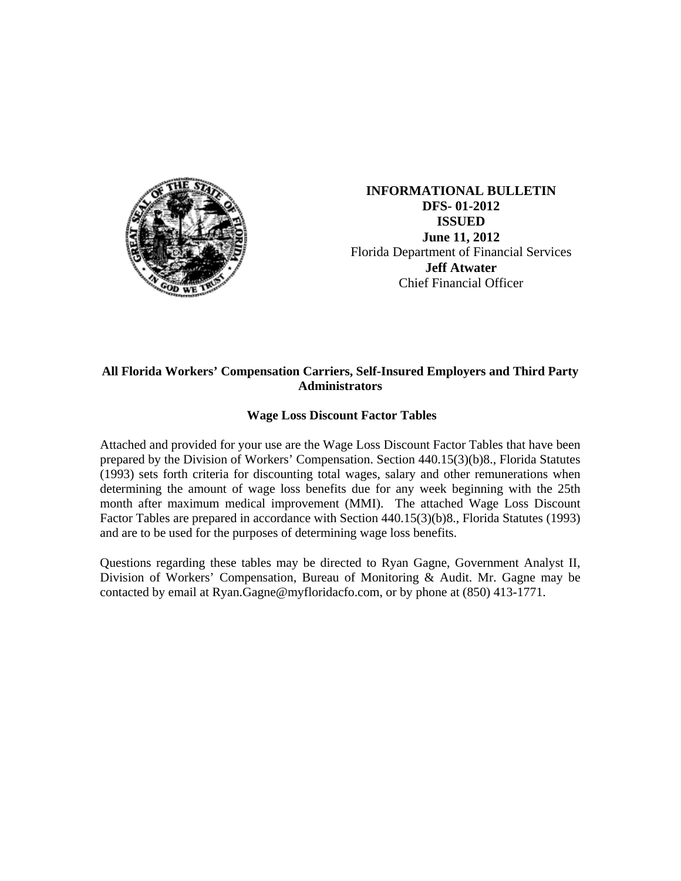

**INFORMATIONAL BULLETIN DFS- 01-2012 ISSUED June 11, 2012** Florida Department of Financial Services **Jeff Atwater** Chief Financial Officer

## **All Florida Workers' Compensation Carriers, Self-Insured Employers and Third Party Administrators**

## **Wage Loss Discount Factor Tables**

Attached and provided for your use are the Wage Loss Discount Factor Tables that have been prepared by the Division of Workers' Compensation. Section 440.15(3)(b)8., Florida Statutes (1993) sets forth criteria for discounting total wages, salary and other remunerations when determining the amount of wage loss benefits due for any week beginning with the 25th month after maximum medical improvement (MMI). The attached Wage Loss Discount Factor Tables are prepared in accordance with Section 440.15(3)(b)8., Florida Statutes (1993) and are to be used for the purposes of determining wage loss benefits.

Questions regarding these tables may be directed to Ryan Gagne, Government Analyst II, Division of Workers' Compensation, Bureau of Monitoring & Audit. Mr. Gagne may be contacted by email at Ryan.Gagne@myfloridacfo.com, or by phone at (850) 413-1771.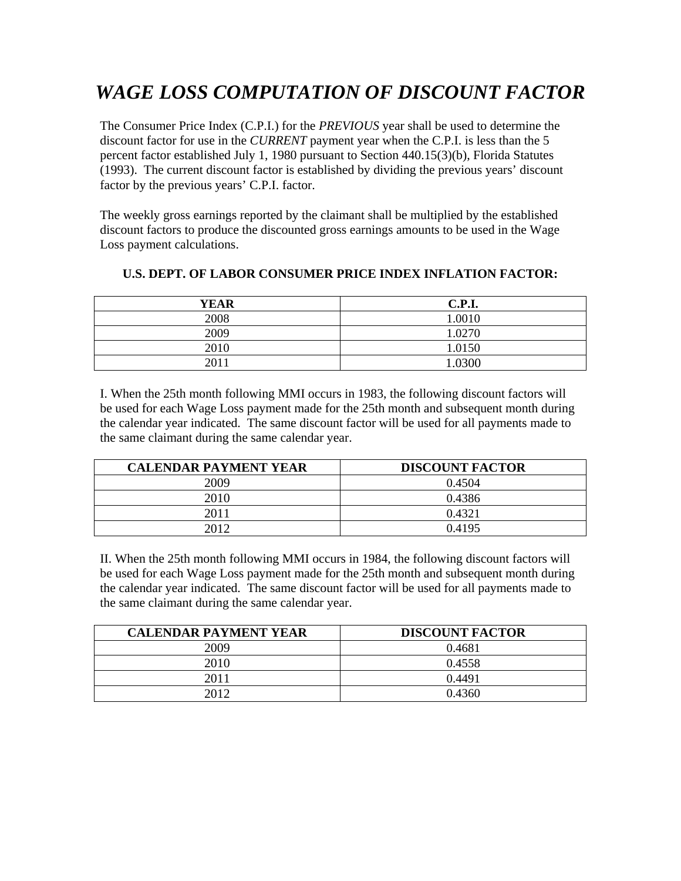## *WAGE LOSS COMPUTATION OF DISCOUNT FACTOR*

The Consumer Price Index (C.P.I.) for the *PREVIOUS* year shall be used to determine the discount factor for use in the *CURRENT* payment year when the C.P.I. is less than the 5 percent factor established July 1, 1980 pursuant to Section 440.15(3)(b), Florida Statutes (1993). The current discount factor is established by dividing the previous years' discount factor by the previous years' C.P.I. factor.

The weekly gross earnings reported by the claimant shall be multiplied by the established discount factors to produce the discounted gross earnings amounts to be used in the Wage Loss payment calculations.

| <b>YEAR</b> | <b>C.P.I.</b> |
|-------------|---------------|
| 2008        | 1.0010        |
| 2009        | 1.0270        |
| 2010        | 1.0150        |
| 2011        | 1.0300        |

## **U.S. DEPT. OF LABOR CONSUMER PRICE INDEX INFLATION FACTOR:**

I. When the 25th month following MMI occurs in 1983, the following discount factors will be used for each Wage Loss payment made for the 25th month and subsequent month during the calendar year indicated. The same discount factor will be used for all payments made to the same claimant during the same calendar year.

| <b>CALENDAR PAYMENT YEAR</b> | <b>DISCOUNT FACTOR</b> |
|------------------------------|------------------------|
| 2009                         | 0.4504                 |
| 2010                         | 0.4386                 |
| 2011                         | 0.4321                 |
| 2012                         | 0.4195                 |

II. When the 25th month following MMI occurs in 1984, the following discount factors will be used for each Wage Loss payment made for the 25th month and subsequent month during the calendar year indicated. The same discount factor will be used for all payments made to the same claimant during the same calendar year.

| <b>CALENDAR PAYMENT YEAR</b> | <b>DISCOUNT FACTOR</b> |
|------------------------------|------------------------|
| 2009                         | 0.4681                 |
| 2010                         | 0.4558                 |
| 2011                         | 0.4491                 |
| 2012                         | 0.4360                 |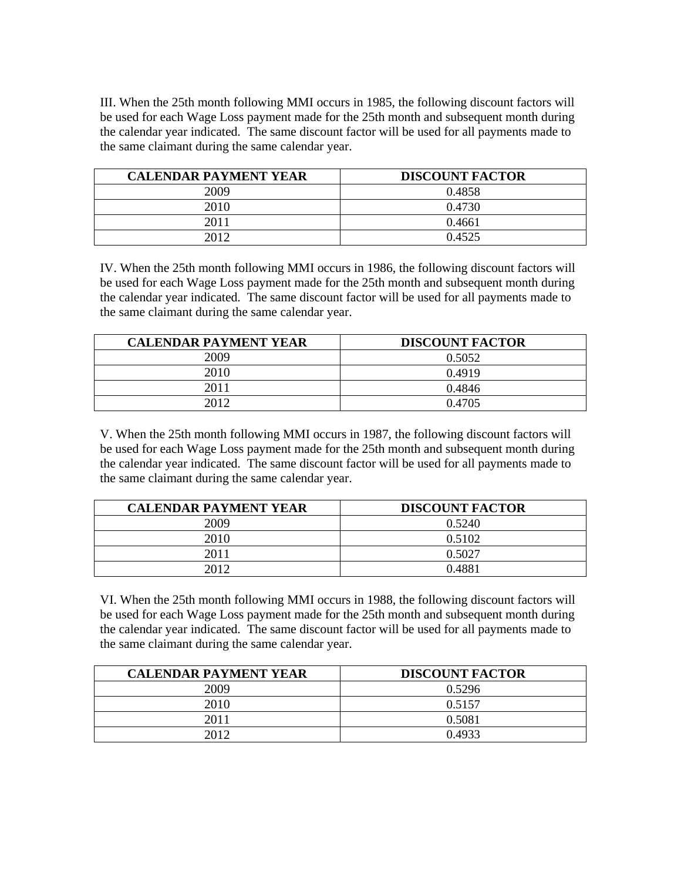III. When the 25th month following MMI occurs in 1985, the following discount factors will be used for each Wage Loss payment made for the 25th month and subsequent month during the calendar year indicated. The same discount factor will be used for all payments made to the same claimant during the same calendar year.

| <b>CALENDAR PAYMENT YEAR</b> | <b>DISCOUNT FACTOR</b> |
|------------------------------|------------------------|
| 2009                         | 0.4858                 |
| 2010                         | 0.4730                 |
| 2011                         | 0.4661                 |
| 2012                         | 0.4525                 |

IV. When the 25th month following MMI occurs in 1986, the following discount factors will be used for each Wage Loss payment made for the 25th month and subsequent month during the calendar year indicated. The same discount factor will be used for all payments made to the same claimant during the same calendar year.

| <b>CALENDAR PAYMENT YEAR</b> | <b>DISCOUNT FACTOR</b> |
|------------------------------|------------------------|
| 2009                         | 0.5052                 |
| 2010                         | 0.4919                 |
| 2011                         | 0.4846                 |
| 2012                         | 0.4705                 |

V. When the 25th month following MMI occurs in 1987, the following discount factors will be used for each Wage Loss payment made for the 25th month and subsequent month during the calendar year indicated. The same discount factor will be used for all payments made to the same claimant during the same calendar year.

| <b>CALENDAR PAYMENT YEAR</b> | <b>DISCOUNT FACTOR</b> |
|------------------------------|------------------------|
| 2009                         | 0.5240                 |
| 2010                         | 0.5102                 |
| 2011                         | 0.5027                 |
| 2012                         | 0.4881                 |

VI. When the 25th month following MMI occurs in 1988, the following discount factors will be used for each Wage Loss payment made for the 25th month and subsequent month during the calendar year indicated. The same discount factor will be used for all payments made to the same claimant during the same calendar year.

| <b>CALENDAR PAYMENT YEAR</b> | <b>DISCOUNT FACTOR</b> |
|------------------------------|------------------------|
| 2009                         | 0.5296                 |
| 2010                         | 0.5157                 |
| 2011                         | 0.5081                 |
| 2012                         | 0.4933                 |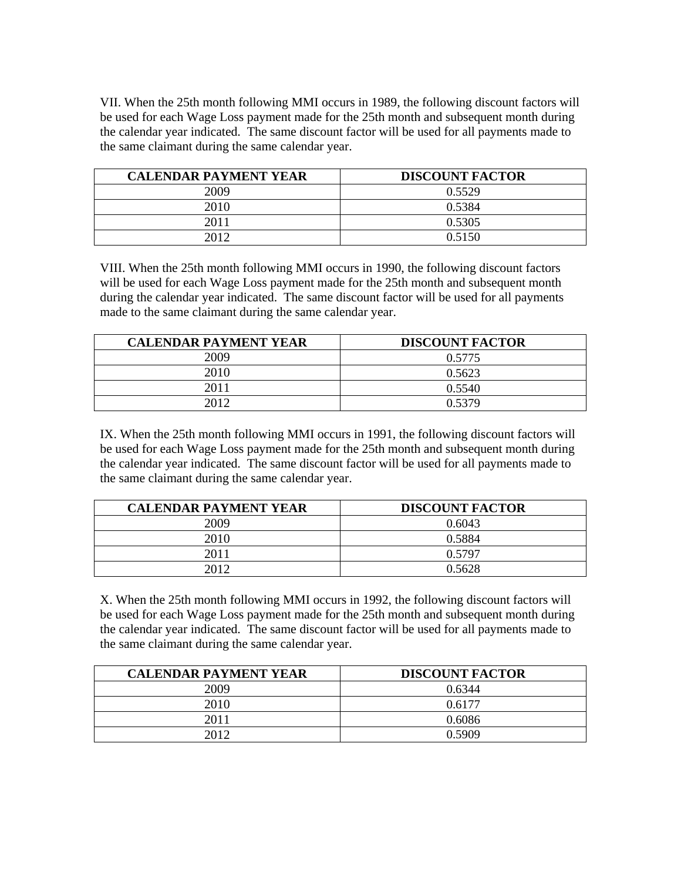VII. When the 25th month following MMI occurs in 1989, the following discount factors will be used for each Wage Loss payment made for the 25th month and subsequent month during the calendar year indicated. The same discount factor will be used for all payments made to the same claimant during the same calendar year.

| <b>CALENDAR PAYMENT YEAR</b> | <b>DISCOUNT FACTOR</b> |
|------------------------------|------------------------|
| 2009                         | 0.5529                 |
| 2010                         | 0.5384                 |
| 2011                         | 0.5305                 |
| 2012                         | 0.5150                 |

VIII. When the 25th month following MMI occurs in 1990, the following discount factors will be used for each Wage Loss payment made for the 25th month and subsequent month during the calendar year indicated. The same discount factor will be used for all payments made to the same claimant during the same calendar year.

| <b>CALENDAR PAYMENT YEAR</b> | <b>DISCOUNT FACTOR</b> |
|------------------------------|------------------------|
| 2009                         | 0.5775                 |
| 2010                         | 0.5623                 |
| 2011                         | 0.5540                 |
| 2012                         | 0.5379                 |

IX. When the 25th month following MMI occurs in 1991, the following discount factors will be used for each Wage Loss payment made for the 25th month and subsequent month during the calendar year indicated. The same discount factor will be used for all payments made to the same claimant during the same calendar year.

| <b>CALENDAR PAYMENT YEAR</b> | <b>DISCOUNT FACTOR</b> |
|------------------------------|------------------------|
| 2009                         | 0.6043                 |
| 2010                         | 0.5884                 |
| 2011                         | 0.5797                 |
| 2012                         | 0.5628                 |

X. When the 25th month following MMI occurs in 1992, the following discount factors will be used for each Wage Loss payment made for the 25th month and subsequent month during the calendar year indicated. The same discount factor will be used for all payments made to the same claimant during the same calendar year.

| <b>CALENDAR PAYMENT YEAR</b> | <b>DISCOUNT FACTOR</b> |
|------------------------------|------------------------|
| 2009                         | 0.6344                 |
| 2010                         | 0.6177                 |
| 2011                         | 0.6086                 |
| 2012                         | 0.5909                 |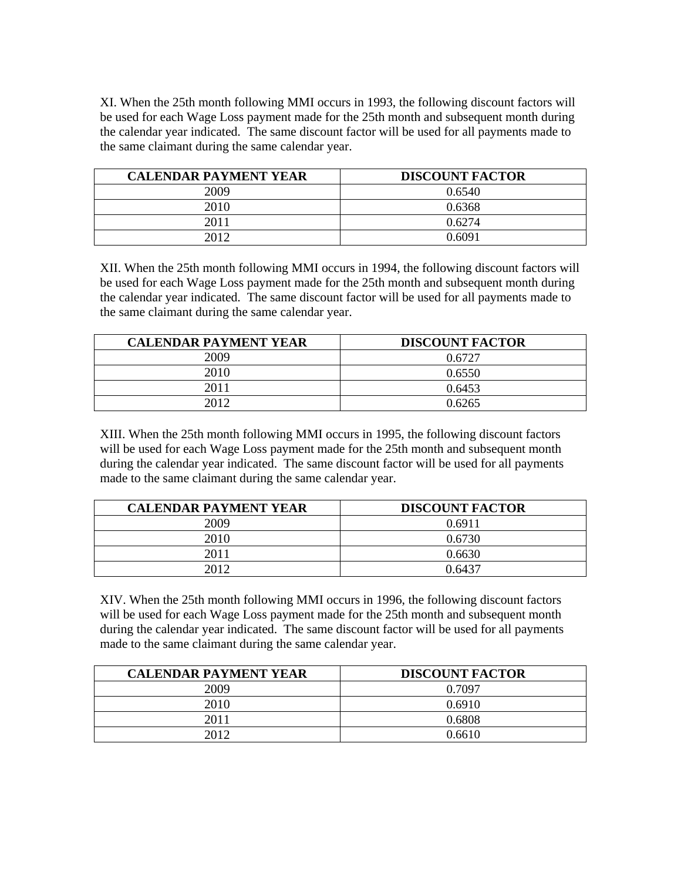XI. When the 25th month following MMI occurs in 1993, the following discount factors will be used for each Wage Loss payment made for the 25th month and subsequent month during the calendar year indicated. The same discount factor will be used for all payments made to the same claimant during the same calendar year.

| <b>CALENDAR PAYMENT YEAR</b> | <b>DISCOUNT FACTOR</b> |
|------------------------------|------------------------|
| 2009                         | 0.6540                 |
| 2010                         | 0.6368                 |
| 2011                         | 0.6274                 |
| 2012                         | 0.6091                 |

XII. When the 25th month following MMI occurs in 1994, the following discount factors will be used for each Wage Loss payment made for the 25th month and subsequent month during the calendar year indicated. The same discount factor will be used for all payments made to the same claimant during the same calendar year.

| <b>CALENDAR PAYMENT YEAR</b> | <b>DISCOUNT FACTOR</b> |
|------------------------------|------------------------|
| 2009                         | 0.6727                 |
| 2010                         | 0.6550                 |
| 2011                         | 0.6453                 |
| 2012                         | 0.6265                 |

XIII. When the 25th month following MMI occurs in 1995, the following discount factors will be used for each Wage Loss payment made for the 25th month and subsequent month during the calendar year indicated. The same discount factor will be used for all payments made to the same claimant during the same calendar year.

| <b>CALENDAR PAYMENT YEAR</b> | <b>DISCOUNT FACTOR</b> |
|------------------------------|------------------------|
| 2009                         | 0.6911                 |
| 2010                         | 0.6730                 |
| 2011                         | 0.6630                 |
| 2012                         | 0.6437                 |

XIV. When the 25th month following MMI occurs in 1996, the following discount factors will be used for each Wage Loss payment made for the 25th month and subsequent month during the calendar year indicated. The same discount factor will be used for all payments made to the same claimant during the same calendar year.

| <b>CALENDAR PAYMENT YEAR</b> | <b>DISCOUNT FACTOR</b> |
|------------------------------|------------------------|
| 2009                         | 0.7097                 |
| 2010                         | 0.6910                 |
| 2011                         | 0.6808                 |
| 2012                         | 0.6610                 |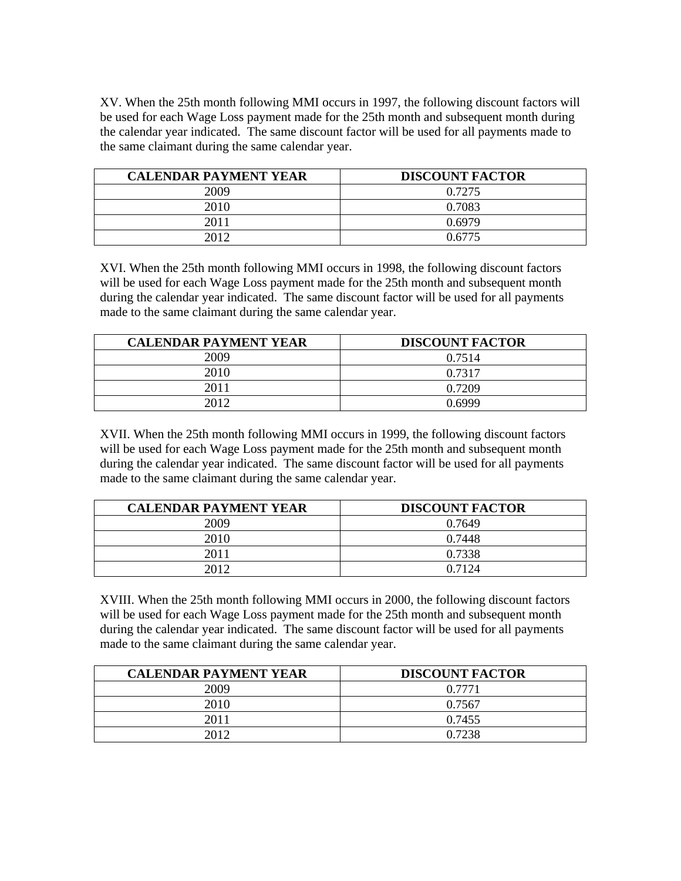XV. When the 25th month following MMI occurs in 1997, the following discount factors will be used for each Wage Loss payment made for the 25th month and subsequent month during the calendar year indicated. The same discount factor will be used for all payments made to the same claimant during the same calendar year.

| <b>CALENDAR PAYMENT YEAR</b> | <b>DISCOUNT FACTOR</b> |
|------------------------------|------------------------|
| 2009                         | 0.7275                 |
| 2010                         | 0.7083                 |
| 2011                         | 0.6979                 |
| 2012                         | 0.6775                 |

XVI. When the 25th month following MMI occurs in 1998, the following discount factors will be used for each Wage Loss payment made for the 25th month and subsequent month during the calendar year indicated. The same discount factor will be used for all payments made to the same claimant during the same calendar year.

| <b>CALENDAR PAYMENT YEAR</b> | <b>DISCOUNT FACTOR</b> |
|------------------------------|------------------------|
| 2009                         | 0.7514                 |
| 2010                         | 0.7317                 |
| 2011                         | 0.7209                 |
| 2012                         | በ 6999                 |

XVII. When the 25th month following MMI occurs in 1999, the following discount factors will be used for each Wage Loss payment made for the 25th month and subsequent month during the calendar year indicated. The same discount factor will be used for all payments made to the same claimant during the same calendar year.

| <b>CALENDAR PAYMENT YEAR</b> | <b>DISCOUNT FACTOR</b> |
|------------------------------|------------------------|
| 2009                         | 0.7649                 |
| 2010                         | 0.7448                 |
| 2011                         | 0.7338                 |
| 2012                         | 0.7124                 |

XVIII. When the 25th month following MMI occurs in 2000, the following discount factors will be used for each Wage Loss payment made for the 25th month and subsequent month during the calendar year indicated. The same discount factor will be used for all payments made to the same claimant during the same calendar year.

| <b>CALENDAR PAYMENT YEAR</b> | <b>DISCOUNT FACTOR</b> |
|------------------------------|------------------------|
| 2009                         | 0.7771                 |
| 2010                         | 0.7567                 |
| 2011                         | 0.7455                 |
| 2012                         | 0.7238                 |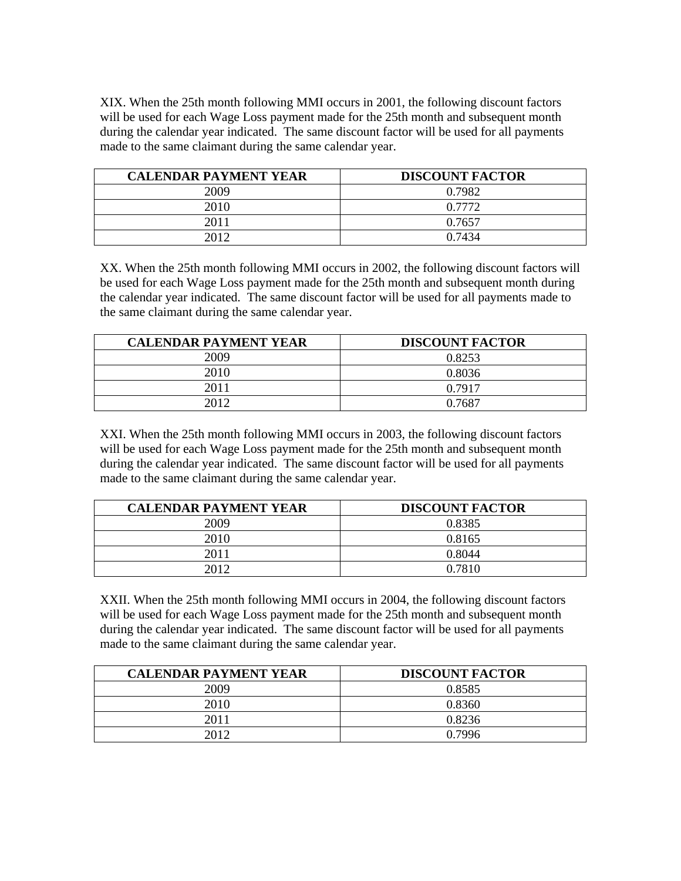XIX. When the 25th month following MMI occurs in 2001, the following discount factors will be used for each Wage Loss payment made for the 25th month and subsequent month during the calendar year indicated. The same discount factor will be used for all payments made to the same claimant during the same calendar year.

| <b>CALENDAR PAYMENT YEAR</b> | <b>DISCOUNT FACTOR</b> |
|------------------------------|------------------------|
| 2009                         | 0.7982                 |
| 2010                         | 0.7772                 |
| 2011                         | 0.7657                 |
| 2012                         | 0.7434                 |

XX. When the 25th month following MMI occurs in 2002, the following discount factors will be used for each Wage Loss payment made for the 25th month and subsequent month during the calendar year indicated. The same discount factor will be used for all payments made to the same claimant during the same calendar year.

| <b>CALENDAR PAYMENT YEAR</b> | <b>DISCOUNT FACTOR</b> |
|------------------------------|------------------------|
| 2009                         | 0.8253                 |
| 2010                         | 0.8036                 |
| 2011                         | 0.7917                 |
| 2012                         | 0.7687                 |

XXI. When the 25th month following MMI occurs in 2003, the following discount factors will be used for each Wage Loss payment made for the 25th month and subsequent month during the calendar year indicated. The same discount factor will be used for all payments made to the same claimant during the same calendar year.

| <b>CALENDAR PAYMENT YEAR</b> | <b>DISCOUNT FACTOR</b> |
|------------------------------|------------------------|
| 2009                         | 0.8385                 |
| 2010                         | 0.8165                 |
| 2011                         | 0.8044                 |
| 2012                         | 0.7810                 |

XXII. When the 25th month following MMI occurs in 2004, the following discount factors will be used for each Wage Loss payment made for the 25th month and subsequent month during the calendar year indicated. The same discount factor will be used for all payments made to the same claimant during the same calendar year.

| <b>CALENDAR PAYMENT YEAR</b> | <b>DISCOUNT FACTOR</b> |
|------------------------------|------------------------|
| 2009                         | 0.8585                 |
| 2010                         | 0.8360                 |
| 2011                         | 0.8236                 |
| 2012                         | 0.7996                 |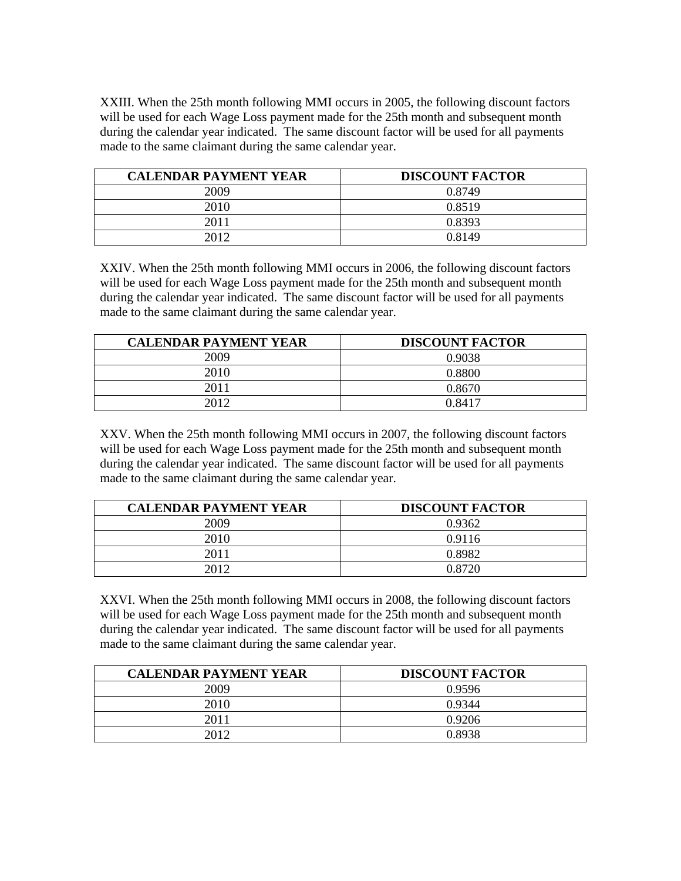XXIII. When the 25th month following MMI occurs in 2005, the following discount factors will be used for each Wage Loss payment made for the 25th month and subsequent month during the calendar year indicated. The same discount factor will be used for all payments made to the same claimant during the same calendar year.

| <b>CALENDAR PAYMENT YEAR</b> | <b>DISCOUNT FACTOR</b> |
|------------------------------|------------------------|
| 2009                         | 0.8749                 |
| 2010                         | 0.8519                 |
| 2011                         | 0.8393                 |
| 2012                         | 0.8149                 |

XXIV. When the 25th month following MMI occurs in 2006, the following discount factors will be used for each Wage Loss payment made for the 25th month and subsequent month during the calendar year indicated. The same discount factor will be used for all payments made to the same claimant during the same calendar year.

| <b>CALENDAR PAYMENT YEAR</b> | <b>DISCOUNT FACTOR</b> |
|------------------------------|------------------------|
| 2009                         | 0.9038                 |
| 2010                         | 0 8800                 |
| 2011                         | 0.8670                 |
|                              | 0.8417                 |

XXV. When the 25th month following MMI occurs in 2007, the following discount factors will be used for each Wage Loss payment made for the 25th month and subsequent month during the calendar year indicated. The same discount factor will be used for all payments made to the same claimant during the same calendar year.

| <b>CALENDAR PAYMENT YEAR</b> | <b>DISCOUNT FACTOR</b> |
|------------------------------|------------------------|
| 2009                         | 0.9362                 |
| 2010                         | 0.9116                 |
| 2011                         | 0.8982                 |
| 2012                         | 0.8720                 |

XXVI. When the 25th month following MMI occurs in 2008, the following discount factors will be used for each Wage Loss payment made for the 25th month and subsequent month during the calendar year indicated. The same discount factor will be used for all payments made to the same claimant during the same calendar year.

| <b>CALENDAR PAYMENT YEAR</b> | <b>DISCOUNT FACTOR</b> |
|------------------------------|------------------------|
| 2009                         | 0.9596                 |
| 2010                         | 0.9344                 |
| 2011                         | 0.9206                 |
| 2012                         | 0.8938                 |